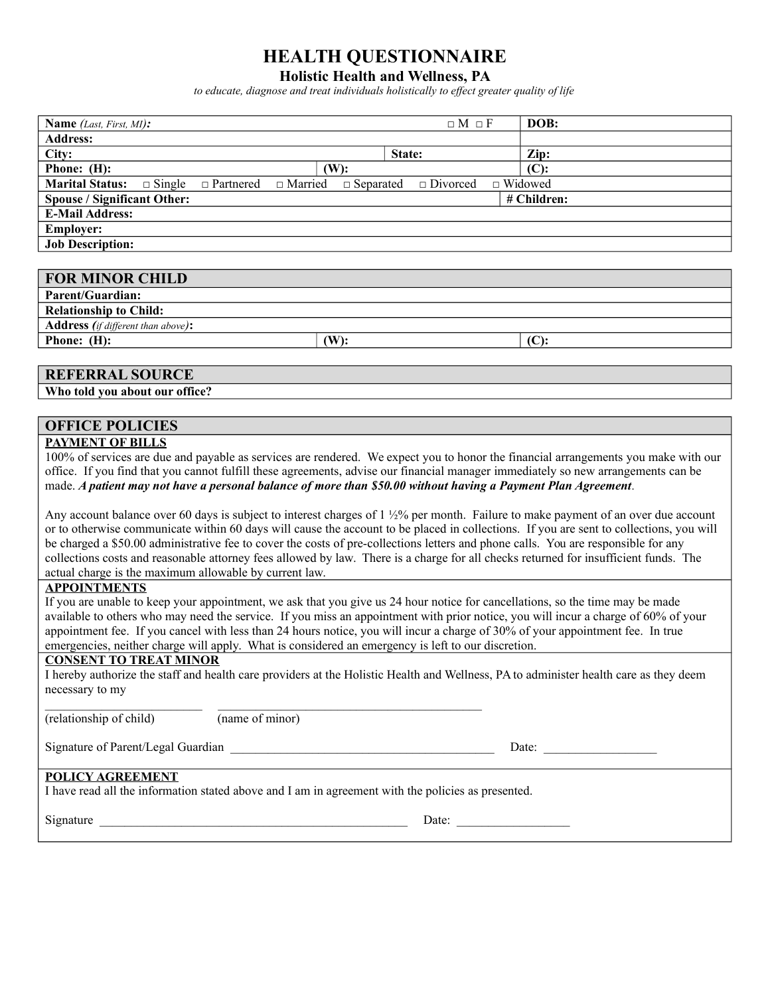## **HEALTH QUESTIONNAIRE**

#### **Holistic Health and Wellness, PA**

*to educate, diagnose and treat individuals holistically to effect greater quality of life*

| Name (Last, First, MI):                                                                                                              | $\Box M \Box F$                                                                                                                               | DOB:                                                                                                                                                                                                                                                                                                                                                                                                          |  |
|--------------------------------------------------------------------------------------------------------------------------------------|-----------------------------------------------------------------------------------------------------------------------------------------------|---------------------------------------------------------------------------------------------------------------------------------------------------------------------------------------------------------------------------------------------------------------------------------------------------------------------------------------------------------------------------------------------------------------|--|
| <b>Address:</b>                                                                                                                      |                                                                                                                                               |                                                                                                                                                                                                                                                                                                                                                                                                               |  |
| City:                                                                                                                                | State:                                                                                                                                        | Zip:                                                                                                                                                                                                                                                                                                                                                                                                          |  |
| Phone: (H):                                                                                                                          | $(W)$ :                                                                                                                                       | (C):                                                                                                                                                                                                                                                                                                                                                                                                          |  |
| Marital Status:<br>$\square$ Single                                                                                                  | $\Box$ Married<br>$\Box$ Partnered<br>$\Box$ Divorced<br>$\Box$ Separated                                                                     | $\Box$ Widowed                                                                                                                                                                                                                                                                                                                                                                                                |  |
| <b>Spouse / Significant Other:</b>                                                                                                   |                                                                                                                                               | # Children:                                                                                                                                                                                                                                                                                                                                                                                                   |  |
| <b>E-Mail Address:</b>                                                                                                               |                                                                                                                                               |                                                                                                                                                                                                                                                                                                                                                                                                               |  |
| <b>Employer:</b>                                                                                                                     |                                                                                                                                               |                                                                                                                                                                                                                                                                                                                                                                                                               |  |
| <b>Job Description:</b>                                                                                                              |                                                                                                                                               |                                                                                                                                                                                                                                                                                                                                                                                                               |  |
|                                                                                                                                      |                                                                                                                                               |                                                                                                                                                                                                                                                                                                                                                                                                               |  |
| <b>FOR MINOR CHILD</b>                                                                                                               |                                                                                                                                               |                                                                                                                                                                                                                                                                                                                                                                                                               |  |
| <b>Parent/Guardian:</b>                                                                                                              |                                                                                                                                               |                                                                                                                                                                                                                                                                                                                                                                                                               |  |
| <b>Relationship to Child:</b>                                                                                                        |                                                                                                                                               |                                                                                                                                                                                                                                                                                                                                                                                                               |  |
| Address (if different than above):                                                                                                   |                                                                                                                                               |                                                                                                                                                                                                                                                                                                                                                                                                               |  |
| Phone: (H):                                                                                                                          | $(W)$ :                                                                                                                                       | (C):                                                                                                                                                                                                                                                                                                                                                                                                          |  |
|                                                                                                                                      |                                                                                                                                               |                                                                                                                                                                                                                                                                                                                                                                                                               |  |
| <b>REFERRAL SOURCE</b>                                                                                                               |                                                                                                                                               |                                                                                                                                                                                                                                                                                                                                                                                                               |  |
| Who told you about our office?                                                                                                       |                                                                                                                                               |                                                                                                                                                                                                                                                                                                                                                                                                               |  |
|                                                                                                                                      |                                                                                                                                               |                                                                                                                                                                                                                                                                                                                                                                                                               |  |
| <b>OFFICE POLICIES</b>                                                                                                               |                                                                                                                                               |                                                                                                                                                                                                                                                                                                                                                                                                               |  |
| <b>PAYMENT OF BILLS</b>                                                                                                              |                                                                                                                                               |                                                                                                                                                                                                                                                                                                                                                                                                               |  |
|                                                                                                                                      | 100% of services are due and payable as services are rendered. We expect you to honor the financial arrangements you make with our            |                                                                                                                                                                                                                                                                                                                                                                                                               |  |
|                                                                                                                                      | office. If you find that you cannot fulfill these agreements, advise our financial manager immediately so new arrangements can be             |                                                                                                                                                                                                                                                                                                                                                                                                               |  |
|                                                                                                                                      | made. A patient may not have a personal balance of more than \$50.00 without having a Payment Plan Agreement.                                 |                                                                                                                                                                                                                                                                                                                                                                                                               |  |
|                                                                                                                                      | Any account balance over 60 days is subject to interest charges of $1\frac{1}{2}\%$ per month. Failure to make payment of an over due account |                                                                                                                                                                                                                                                                                                                                                                                                               |  |
|                                                                                                                                      | or to otherwise communicate within 60 days will cause the account to be placed in collections. If you are sent to collections, you will       |                                                                                                                                                                                                                                                                                                                                                                                                               |  |
|                                                                                                                                      | be charged a \$50.00 administrative fee to cover the costs of pre-collections letters and phone calls. You are responsible for any            |                                                                                                                                                                                                                                                                                                                                                                                                               |  |
| collections costs and reasonable attorney fees allowed by law. There is a charge for all checks returned for insufficient funds. The |                                                                                                                                               |                                                                                                                                                                                                                                                                                                                                                                                                               |  |
| actual charge is the maximum allowable by current law.                                                                               |                                                                                                                                               |                                                                                                                                                                                                                                                                                                                                                                                                               |  |
| <b>APPOINTMENTS</b>                                                                                                                  |                                                                                                                                               |                                                                                                                                                                                                                                                                                                                                                                                                               |  |
| If you are unable to keep your appointment, we ask that you give us 24 hour notice for cancellations, so the time may be made        |                                                                                                                                               |                                                                                                                                                                                                                                                                                                                                                                                                               |  |
| available to others who may need the service. If you miss an appointment with prior notice, you will incur a charge of 60% of your   |                                                                                                                                               |                                                                                                                                                                                                                                                                                                                                                                                                               |  |
| appointment fee. If you cancel with less than 24 hours notice, you will incur a charge of 30% of your appointment fee. In true       |                                                                                                                                               |                                                                                                                                                                                                                                                                                                                                                                                                               |  |
|                                                                                                                                      | emergencies, neither charge will apply. What is considered an emergency is left to our discretion.                                            |                                                                                                                                                                                                                                                                                                                                                                                                               |  |
| <b>CONSENT TO TREAT MINOR</b>                                                                                                        |                                                                                                                                               |                                                                                                                                                                                                                                                                                                                                                                                                               |  |
|                                                                                                                                      | I hereby authorize the staff and health care providers at the Holistic Health and Wellness, PA to administer health care as they deem         |                                                                                                                                                                                                                                                                                                                                                                                                               |  |
| necessary to my                                                                                                                      |                                                                                                                                               |                                                                                                                                                                                                                                                                                                                                                                                                               |  |
| (relationship of child)                                                                                                              | <u> 1989 - Johann John Stone, mars et al. (</u><br>$(\text{name of minor})$                                                                   |                                                                                                                                                                                                                                                                                                                                                                                                               |  |
|                                                                                                                                      |                                                                                                                                               |                                                                                                                                                                                                                                                                                                                                                                                                               |  |
|                                                                                                                                      |                                                                                                                                               | Date: $\frac{1}{\sqrt{1-\frac{1}{2}}\sqrt{1-\frac{1}{2}}\sqrt{1-\frac{1}{2}}\sqrt{1-\frac{1}{2}}\sqrt{1-\frac{1}{2}}\sqrt{1-\frac{1}{2}}\sqrt{1-\frac{1}{2}}\sqrt{1-\frac{1}{2}}\sqrt{1-\frac{1}{2}}\sqrt{1-\frac{1}{2}}\sqrt{1-\frac{1}{2}}\sqrt{1-\frac{1}{2}}\sqrt{1-\frac{1}{2}}\sqrt{1-\frac{1}{2}}\sqrt{1-\frac{1}{2}}\sqrt{1-\frac{1}{2}}\sqrt{1-\frac{1}{2}}\sqrt{1-\frac{1}{2}}\sqrt{1-\frac{1}{2}}$ |  |
|                                                                                                                                      |                                                                                                                                               |                                                                                                                                                                                                                                                                                                                                                                                                               |  |
| <b>POLICY AGREEMENT</b>                                                                                                              |                                                                                                                                               |                                                                                                                                                                                                                                                                                                                                                                                                               |  |
|                                                                                                                                      | I have read all the information stated above and I am in agreement with the policies as presented.                                            |                                                                                                                                                                                                                                                                                                                                                                                                               |  |
|                                                                                                                                      |                                                                                                                                               |                                                                                                                                                                                                                                                                                                                                                                                                               |  |
|                                                                                                                                      | Signature                                                                                                                                     |                                                                                                                                                                                                                                                                                                                                                                                                               |  |
|                                                                                                                                      |                                                                                                                                               |                                                                                                                                                                                                                                                                                                                                                                                                               |  |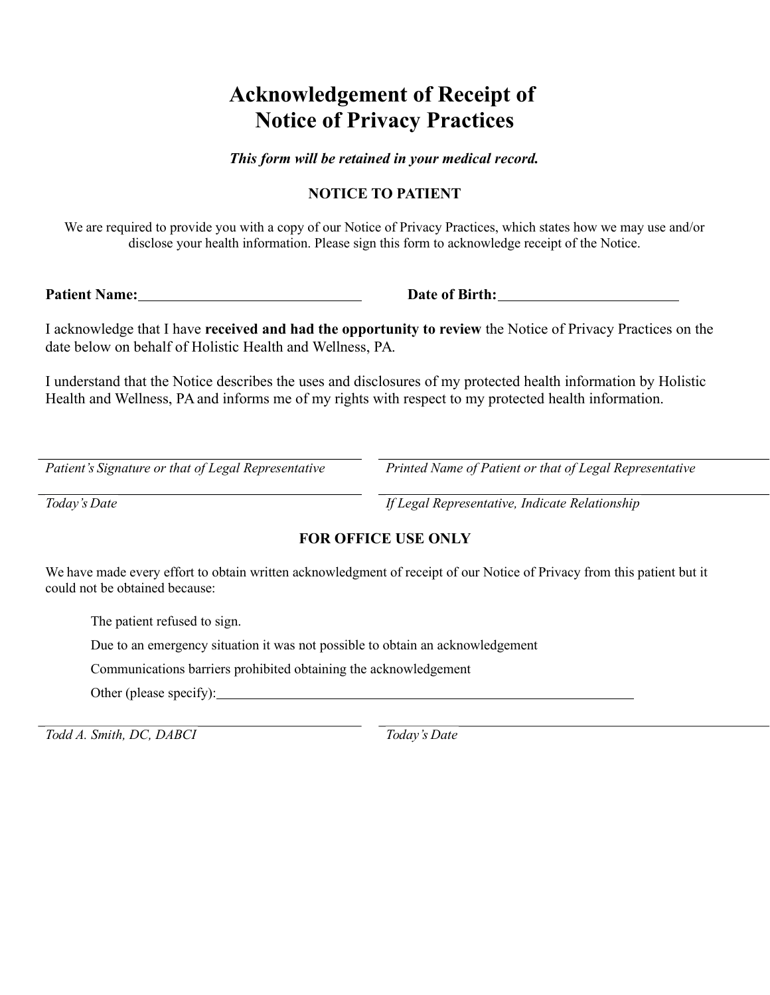# **Acknowledgement of Receipt of Notice of Privacy Practices**

*This form will be retained in your medical record.*

## **NOTICE TO PATIENT**

We are required to provide you with a copy of our Notice of Privacy Practices, which states how we may use and/or disclose your health information. Please sign this form to acknowledge receipt of the Notice.

**Patient Name: Date of Birth:**

I acknowledge that I have **received and had the opportunity to review** the Notice of Privacy Practices on the date below on behalf of Holistic Health and Wellness, PA.

I understand that the Notice describes the uses and disclosures of my protected health information by Holistic Health and Wellness, PA and informs me of my rights with respect to my protected health information.

*Patient's Signature or that of Legal Representative Printed Name of Patient or that of Legal Representative*

*Today's Date If Legal Representative, Indicate Relationship*

## **FOR OFFICE USE ONLY**

We have made every effort to obtain written acknowledgment of receipt of our Notice of Privacy from this patient but it could not be obtained because:

The patient refused to sign.

Due to an emergency situation it was not possible to obtain an acknowledgement

Communications barriers prohibited obtaining the acknowledgement

Other (please specify):

*Todd A. Smith, DC, DABCI Today's Date*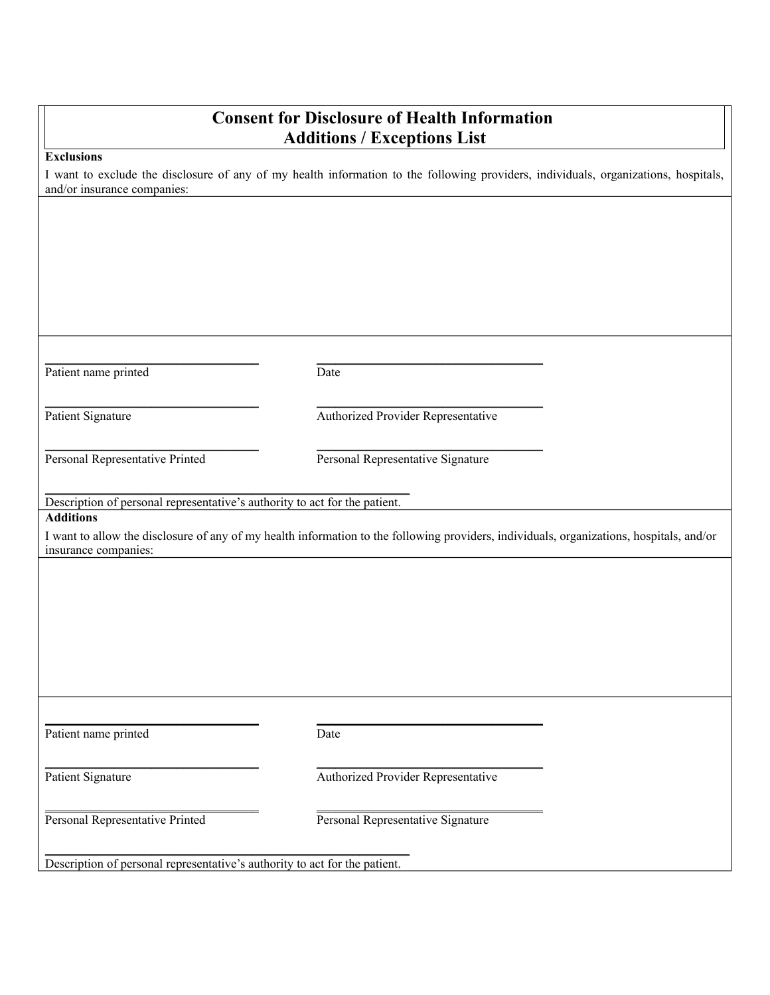## **Consent for Disclosure of Health Information Additions / Exceptions List**

#### **Exclusions**

I want to exclude the disclosure of any of my health information to the following providers, individuals, organizations, hospitals, and/or insurance companies:

| Patient name printed                                                       | Date                                                                                                                                     |
|----------------------------------------------------------------------------|------------------------------------------------------------------------------------------------------------------------------------------|
| Patient Signature                                                          | Authorized Provider Representative                                                                                                       |
| Personal Representative Printed                                            | Personal Representative Signature                                                                                                        |
| Description of personal representative's authority to act for the patient. |                                                                                                                                          |
| <b>Additions</b>                                                           | I want to allow the disclosure of any of my health information to the following providers, individuals, organizations, hospitals, and/or |
| insurance companies:                                                       |                                                                                                                                          |
|                                                                            |                                                                                                                                          |
|                                                                            |                                                                                                                                          |
|                                                                            |                                                                                                                                          |
|                                                                            |                                                                                                                                          |
|                                                                            |                                                                                                                                          |
|                                                                            |                                                                                                                                          |
| Patient name printed                                                       | Date                                                                                                                                     |
| Patient Signature                                                          | Authorized Provider Representative                                                                                                       |
| Personal Representative Printed                                            | Personal Representative Signature                                                                                                        |
| Description of personal representative's authority to act for the patient. |                                                                                                                                          |
|                                                                            |                                                                                                                                          |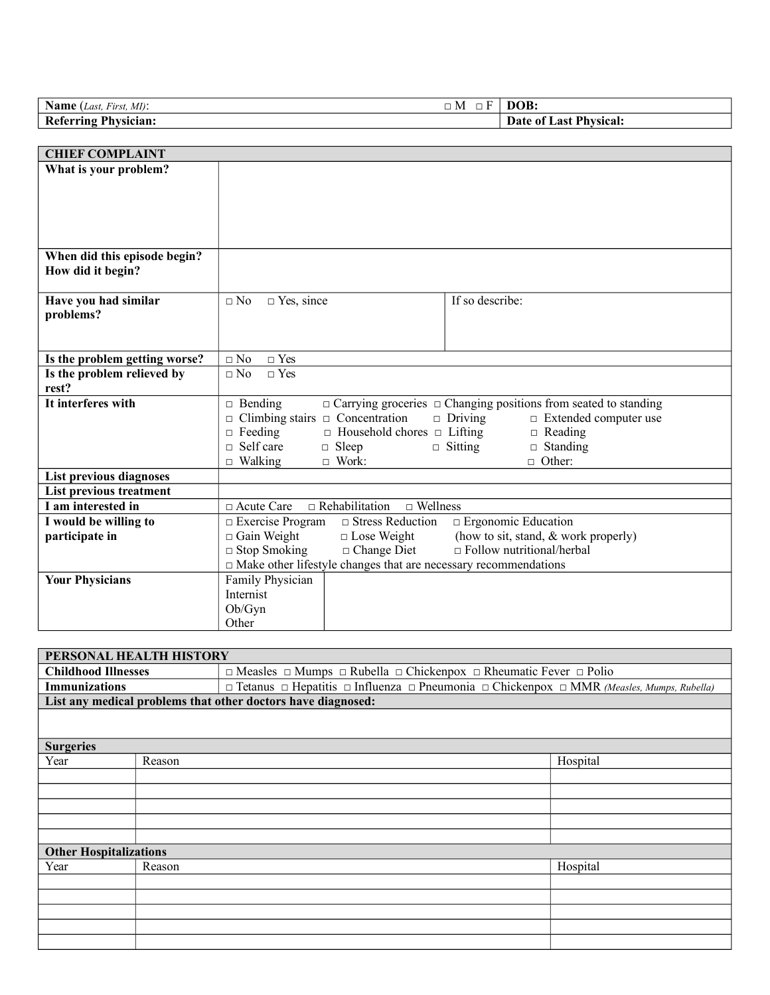| <b>Name</b> ( <i>Last, First, MI</i> ): | o Fi<br>$\Box$<br>- M | DOB:                   |
|-----------------------------------------|-----------------------|------------------------|
| <b>Referring Physician:</b>             |                       | Date of Last Physical: |
|                                         |                       |                        |

| <b>CHIEF COMPLAINT</b>        |                                                                                                                                                |
|-------------------------------|------------------------------------------------------------------------------------------------------------------------------------------------|
| What is your problem?         |                                                                                                                                                |
|                               |                                                                                                                                                |
|                               |                                                                                                                                                |
|                               |                                                                                                                                                |
|                               |                                                                                                                                                |
| When did this episode begin?  |                                                                                                                                                |
| How did it begin?             |                                                                                                                                                |
|                               |                                                                                                                                                |
| Have you had similar          | If so describe:<br>$\Box$ No<br>$\Box$ Yes, since                                                                                              |
| problems?                     |                                                                                                                                                |
|                               |                                                                                                                                                |
|                               |                                                                                                                                                |
| Is the problem getting worse? | $\Box$ No<br>$\Box$ Yes                                                                                                                        |
| Is the problem relieved by    | $\Box$ Yes<br>$\Box$ No                                                                                                                        |
| rest?                         |                                                                                                                                                |
| It interferes with            | $\Box$ Carrying groceries $\Box$ Changing positions from seated to standing<br>$\Box$ Bending                                                  |
|                               | Climbing stairs $\Box$ Concentration<br>$\Box$ Driving<br>$\Box$ Extended computer use<br>$\Box$                                               |
|                               | $\Box$ Feeding<br>$\Box$ Household chores $\Box$ Lifting<br>$\Box$ Reading                                                                     |
|                               | $\Box$ Self care<br>$\Box$ Sleep<br>$\Box$ Standing<br>$\Box$ Sitting                                                                          |
|                               | $\Box$ Other:<br>$\Box$ Walking<br>$\Box$ Work:                                                                                                |
| List previous diagnoses       |                                                                                                                                                |
| List previous treatment       |                                                                                                                                                |
| I am interested in            | $\Box$ Acute Care<br>$\Box$ Rehabilitation<br>$\Box$ Wellness                                                                                  |
| I would be willing to         | $\Box$ Ergonomic Education<br>$\Box$ Exercise Program<br>$\Box$ Stress Reduction<br>$\Box$ Gain Weight<br>(how to sit, stand, & work properly) |
| participate in                | $\Box$ Lose Weight<br>$\Box$ Stop Smoking<br>$\Box$ Follow nutritional/herbal<br>$\Box$ Change Diet                                            |
|                               | □ Make other lifestyle changes that are necessary recommendations                                                                              |
| <b>Your Physicians</b>        | Family Physician                                                                                                                               |
|                               | Internist                                                                                                                                      |
|                               | Ob/Gyn                                                                                                                                         |
|                               | Other                                                                                                                                          |
|                               |                                                                                                                                                |

| PERSONAL HEALTH HISTORY       |        |                                                                                                                                 |          |  |
|-------------------------------|--------|---------------------------------------------------------------------------------------------------------------------------------|----------|--|
| <b>Childhood Illnesses</b>    |        | $\Box$ Measles $\Box$ Mumps $\Box$ Rubella $\Box$ Chickenpox $\Box$ Rheumatic Fever $\Box$ Polio                                |          |  |
| <b>Immunizations</b>          |        | $\Box$ Tetanus $\Box$ Hepatitis $\Box$ Influenza $\Box$ Pneumonia $\Box$ Chickenpox $\Box$ MMR <i>(Measles, Mumps, Rubella)</i> |          |  |
|                               |        | List any medical problems that other doctors have diagnosed:                                                                    |          |  |
|                               |        |                                                                                                                                 |          |  |
|                               |        |                                                                                                                                 |          |  |
| <b>Surgeries</b>              |        |                                                                                                                                 |          |  |
| Year                          | Reason |                                                                                                                                 | Hospital |  |
|                               |        |                                                                                                                                 |          |  |
|                               |        |                                                                                                                                 |          |  |
|                               |        |                                                                                                                                 |          |  |
|                               |        |                                                                                                                                 |          |  |
|                               |        |                                                                                                                                 |          |  |
| <b>Other Hospitalizations</b> |        |                                                                                                                                 |          |  |
| Year                          | Reason |                                                                                                                                 | Hospital |  |
|                               |        |                                                                                                                                 |          |  |
|                               |        |                                                                                                                                 |          |  |
|                               |        |                                                                                                                                 |          |  |
|                               |        |                                                                                                                                 |          |  |
|                               |        |                                                                                                                                 |          |  |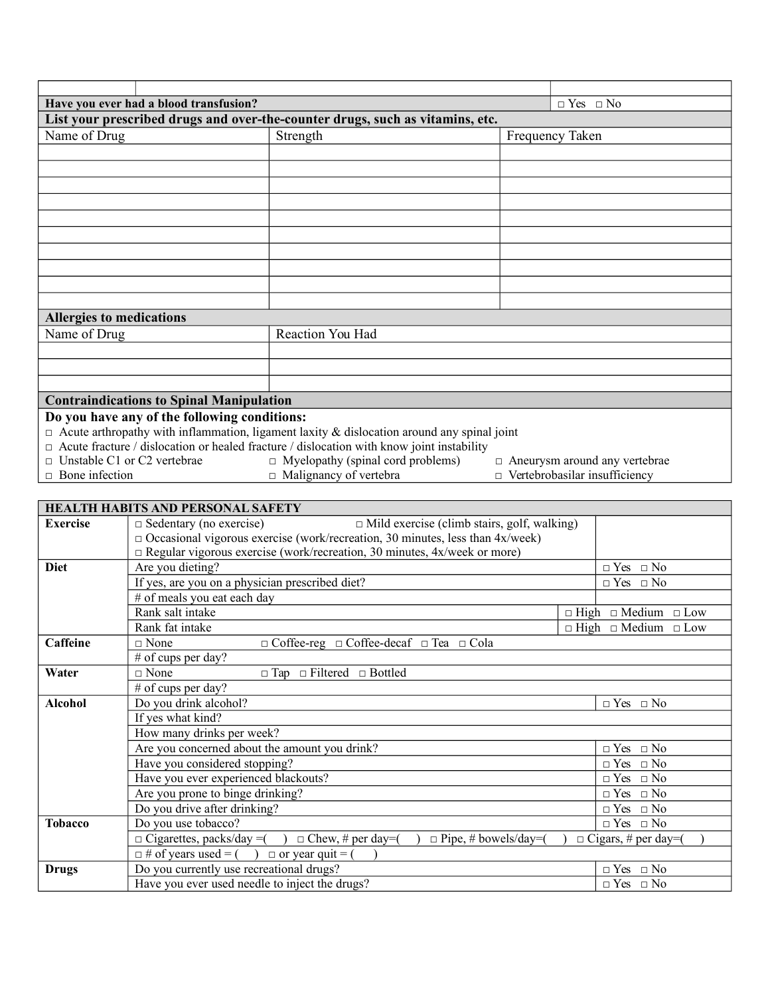| Have you ever had a blood transfusion?<br>$\Box$ Yes $\Box$ No                                    |  |                                                                               |  |                                      |
|---------------------------------------------------------------------------------------------------|--|-------------------------------------------------------------------------------|--|--------------------------------------|
|                                                                                                   |  | List your prescribed drugs and over-the-counter drugs, such as vitamins, etc. |  |                                      |
| Name of Drug                                                                                      |  | Strength                                                                      |  | Frequency Taken                      |
|                                                                                                   |  |                                                                               |  |                                      |
|                                                                                                   |  |                                                                               |  |                                      |
|                                                                                                   |  |                                                                               |  |                                      |
|                                                                                                   |  |                                                                               |  |                                      |
|                                                                                                   |  |                                                                               |  |                                      |
|                                                                                                   |  |                                                                               |  |                                      |
|                                                                                                   |  |                                                                               |  |                                      |
|                                                                                                   |  |                                                                               |  |                                      |
|                                                                                                   |  |                                                                               |  |                                      |
|                                                                                                   |  |                                                                               |  |                                      |
| <b>Allergies to medications</b>                                                                   |  |                                                                               |  |                                      |
| Name of Drug                                                                                      |  | Reaction You Had                                                              |  |                                      |
|                                                                                                   |  |                                                                               |  |                                      |
|                                                                                                   |  |                                                                               |  |                                      |
|                                                                                                   |  |                                                                               |  |                                      |
| <b>Contraindications to Spinal Manipulation</b>                                                   |  |                                                                               |  |                                      |
| Do you have any of the following conditions:                                                      |  |                                                                               |  |                                      |
| $\Box$ Acute arthropathy with inflammation, ligament laxity & dislocation around any spinal joint |  |                                                                               |  |                                      |
| $\Box$ Acute fracture / dislocation or healed fracture / dislocation with know joint instability  |  |                                                                               |  |                                      |
| $\Box$ Unstable C1 or C2 vertebrae                                                                |  | $\Box$ Myelopathy (spinal cord problems)                                      |  | $\Box$ Aneurysm around any vertebrae |

- 
- 
- 

**□** Bone infection **□** Malignancy of vertebra **□** Vertebrobasilar insufficiency

|                 | <b>HEALTH HABITS AND PERSONAL SAFETY</b>                                                     |                                      |
|-----------------|----------------------------------------------------------------------------------------------|--------------------------------------|
| <b>Exercise</b> | $\Box$ Mild exercise (climb stairs, golf, walking)<br>$\Box$ Sedentary (no exercise)         |                                      |
|                 | $\Box$ Occasional vigorous exercise (work/recreation, 30 minutes, less than 4x/week)         |                                      |
|                 | $\Box$ Regular vigorous exercise (work/recreation, 30 minutes, 4x/week or more)              |                                      |
| <b>Diet</b>     | Are you dieting?                                                                             | $\Box$ Yes $\Box$ No                 |
|                 | If yes, are you on a physician prescribed diet?                                              | $\Box$ Yes $\Box$ No                 |
|                 | # of meals you eat each day                                                                  |                                      |
|                 | Rank salt intake                                                                             | $\Box$ High $\Box$ Medium $\Box$ Low |
|                 | Rank fat intake                                                                              | $\Box$ High $\Box$ Medium $\Box$ Low |
| Caffeine        | $\Box$ Coffee-reg $\Box$ Coffee-decaf $\Box$ Tea $\Box$ Cola<br>$\sqcap$ None                |                                      |
|                 | # of cups per day?                                                                           |                                      |
| Water           | $\sqcap$ None<br>$\Box$ Tap $\Box$ Filtered $\Box$ Bottled                                   |                                      |
|                 | # of cups per day?                                                                           |                                      |
| <b>Alcohol</b>  | Do you drink alcohol?                                                                        | $\Box$ Yes $\Box$ No                 |
|                 | If yes what kind?                                                                            |                                      |
|                 | How many drinks per week?                                                                    |                                      |
|                 | Are you concerned about the amount you drink?                                                | $\Box$ Yes $\Box$ No                 |
|                 | Have you considered stopping?                                                                | $\Box$ Yes $\Box$ No                 |
|                 | Have you ever experienced blackouts?                                                         | $\Box$ Yes $\Box$ No                 |
|                 | Are you prone to binge drinking?                                                             | $\Box$ Yes $\Box$ No                 |
|                 | Do you drive after drinking?                                                                 | $\Box$ Yes $\Box$ No                 |
| <b>Tobacco</b>  | Do you use tobacco?                                                                          | $\Box$ Yes $\Box$ No                 |
|                 | $\Box$ Cigarettes, packs/day = $\Box$ Chew, # per day= $\Box$<br>$\Box$ Pipe, # bowels/day=( | $\Box$ Cigars, # per day=(           |
|                 | $\Box \#$ of years used = () $\Box$ or year quit = (                                         |                                      |
| <b>Drugs</b>    | Do you currently use recreational drugs?                                                     | $\hfill \Box$ Yes $\hfill \Box$ No   |
|                 | Have you ever used needle to inject the drugs?                                               | $\Box$ Yes $\Box$ No                 |
|                 |                                                                                              |                                      |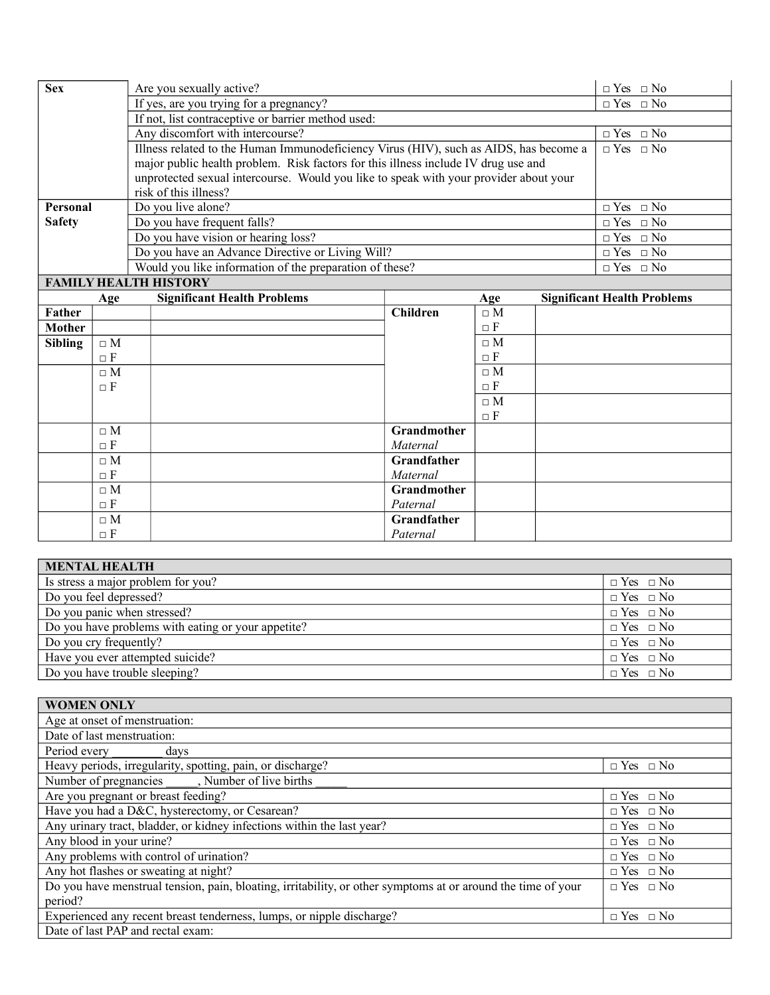| <b>Sex</b>                   | Are you sexually active?                                                              | $\Box$ Yes $\Box$ No |  |
|------------------------------|---------------------------------------------------------------------------------------|----------------------|--|
|                              | If yes, are you trying for a pregnancy?                                               | $\Box$ Yes $\Box$ No |  |
|                              | If not, list contraceptive or barrier method used:                                    |                      |  |
|                              | Any discomfort with intercourse?                                                      | $\Box$ Yes $\Box$ No |  |
|                              | Illness related to the Human Immunodeficiency Virus (HIV), such as AIDS, has become a | $\Box$ Yes $\Box$ No |  |
|                              | major public health problem. Risk factors for this illness include IV drug use and    |                      |  |
|                              | unprotected sexual intercourse. Would you like to speak with your provider about your |                      |  |
|                              | risk of this illness?                                                                 |                      |  |
| Personal                     | Do you live alone?                                                                    | $\Box$ Yes $\Box$ No |  |
| <b>Safety</b>                | Do you have frequent falls?                                                           | $\Box$ Yes $\Box$ No |  |
|                              | Do you have vision or hearing loss?                                                   | $\Box$ Yes $\Box$ No |  |
|                              | Do you have an Advance Directive or Living Will?                                      | $\Box$ Yes $\Box$ No |  |
|                              | Would you like information of the preparation of these?                               | $\Box$ Yes $\Box$ No |  |
| <b>FAMILY HEALTH HISTORY</b> |                                                                                       |                      |  |

|                | Age      | <b>Significant Health Problems</b> |                 | Age             | <b>Significant Health Problems</b> |
|----------------|----------|------------------------------------|-----------------|-----------------|------------------------------------|
| Father         |          |                                    | <b>Children</b> |                 |                                    |
| Mother         |          |                                    |                 | $\Box$ F        |                                    |
| <b>Sibling</b> | $\Box$ M |                                    |                 | $\Box M$        |                                    |
|                | $\Box$ F |                                    |                 | $\Box$ F        |                                    |
|                | $\Box$ M |                                    |                 | $\Box M$        |                                    |
|                | $\Box$ F |                                    |                 | $\Box$<br><br>F |                                    |
|                |          |                                    |                 | $\Box M$        |                                    |
|                |          |                                    |                 | $\Box$ F        |                                    |
|                |          |                                    | Grandmother     |                 |                                    |
|                | $\Box$ F |                                    | Maternal        |                 |                                    |
|                | $\Box M$ |                                    | Grandfather     |                 |                                    |
|                | $\Box$ F |                                    | Maternal        |                 |                                    |
|                |          |                                    | Grandmother     |                 |                                    |
|                | $\Box$ F |                                    | Paternal        |                 |                                    |
|                | $\Box$ M |                                    | Grandfather     |                 |                                    |
|                | $\Box$ F |                                    | Paternal        |                 |                                    |

| <b>MENTAL HEALTH</b>                               |                      |
|----------------------------------------------------|----------------------|
| Is stress a major problem for you?                 | $\Box$ Yes $\Box$ No |
| Do you feel depressed?                             | $\Box$ Yes $\Box$ No |
| Do you panic when stressed?                        | $\Box$ Yes $\Box$ No |
| Do you have problems with eating or your appetite? | $\Box$ Yes $\Box$ No |
| Do you cry frequently?                             | $\Box$ Yes $\Box$ No |
| Have you ever attempted suicide?                   | $\Box$ Yes $\Box$ No |
| Do you have trouble sleeping?                      | $\Box$ Yes $\Box$ No |

| <b>WOMEN ONLY</b>                                                                                            |                      |
|--------------------------------------------------------------------------------------------------------------|----------------------|
| Age at onset of menstruation:                                                                                |                      |
| Date of last menstruation:                                                                                   |                      |
| Period every<br>davs                                                                                         |                      |
| Heavy periods, irregularity, spotting, pain, or discharge?                                                   | $\Box$ Yes $\Box$ No |
| Number of pregnancies ______, Number of live births                                                          |                      |
| Are you pregnant or breast feeding?                                                                          | $\Box$ Yes $\Box$ No |
| Have you had a D&C, hysterectomy, or Cesarean?                                                               | $\Box$ Yes $\Box$ No |
| Any urinary tract, bladder, or kidney infections within the last year?                                       | $\Box$ Yes $\Box$ No |
| Any blood in your urine?                                                                                     | $\Box$ Yes $\Box$ No |
| Any problems with control of urination?                                                                      | $\Box$ Yes $\Box$ No |
| Any hot flashes or sweating at night?                                                                        | $\Box$ Yes $\Box$ No |
| Do you have menstrual tension, pain, bloating, irritability, or other symptoms at or around the time of your | $\Box$ Yes $\Box$ No |
| period?                                                                                                      |                      |
| Experienced any recent breast tenderness, lumps, or nipple discharge?                                        | $\Box$ Yes $\Box$ No |
| Date of last PAP and rectal exam:                                                                            |                      |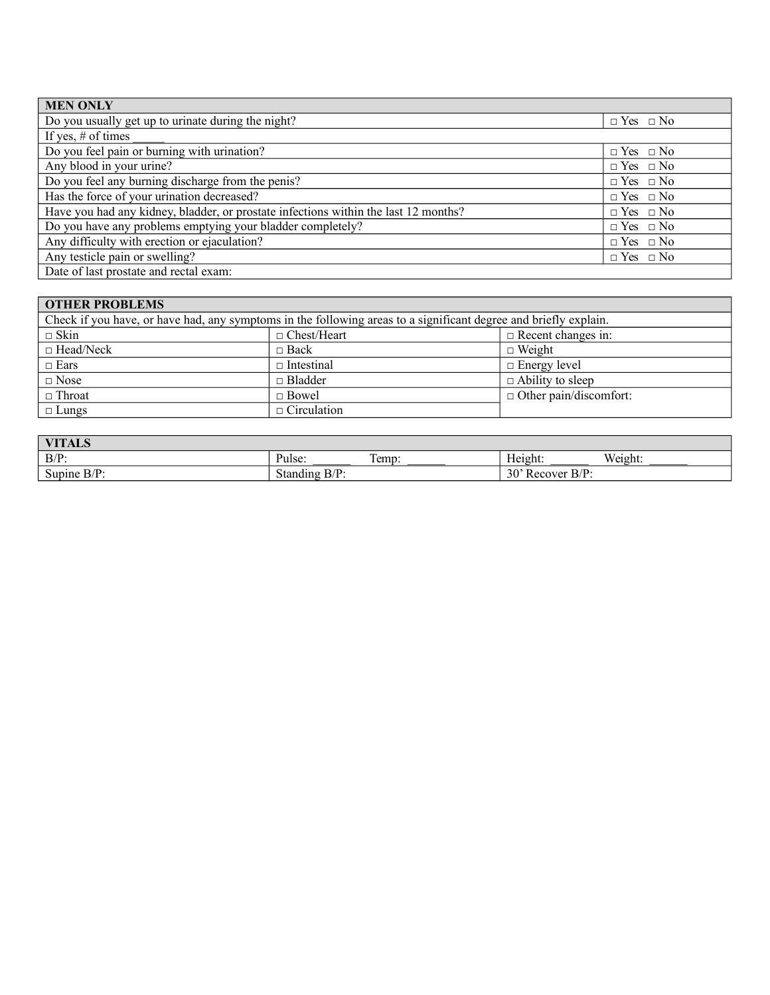| <b>MEN ONLY</b>                                                                     |                      |
|-------------------------------------------------------------------------------------|----------------------|
| Do you usually get up to urinate during the night?                                  | $\Box$ Yes $\Box$ No |
| If yes, $#$ of times                                                                |                      |
| Do you feel pain or burning with urination?                                         | $\Box$ Yes $\Box$ No |
| Any blood in your urine?                                                            | $\Box$ Yes $\Box$ No |
| Do you feel any burning discharge from the penis?                                   | $\Box$ Yes $\Box$ No |
| Has the force of your urination decreased?                                          | $\Box$ Yes $\Box$ No |
| Have you had any kidney, bladder, or prostate infections within the last 12 months? | $\Box$ Yes $\Box$ No |
| Do you have any problems emptying your bladder completely?                          | $\Box$ Yes $\Box$ No |
| Any difficulty with erection or ejaculation?                                        | $\Box$ Yes $\Box$ No |
| Any testicle pain or swelling?                                                      | $\Box$ Yes $\Box$ No |
| Date of last prostate and rectal exam:                                              |                      |

### **OTHER PROBLEMS**

| Check if you have, or have had, any symptoms in the following areas to a significant degree and briefly explain. |                    |                               |  |  |
|------------------------------------------------------------------------------------------------------------------|--------------------|-------------------------------|--|--|
| $\Box$ Skin                                                                                                      | $\Box$ Chest/Heart | $\Box$ Recent changes in:     |  |  |
| $\Box$ Head/Neck                                                                                                 | $\Box$ Back        | $\Box$ Weight                 |  |  |
| $\Box$ Ears                                                                                                      | $\Box$ Intestinal  | $\Box$ Energy level           |  |  |
| $\square$ Nose                                                                                                   | $\Box$ Bladder     | $\Box$ Ability to sleep       |  |  |
| $\Box$ Throat                                                                                                    | $\Box$ Bowel       | $\Box$ Other pain/discomfort: |  |  |
| $\Box$ Lungs                                                                                                     | $\Box$ Circulation |                               |  |  |

| <b>VITALS</b>                    |                                 |           |                                      |         |
|----------------------------------|---------------------------------|-----------|--------------------------------------|---------|
| $B/P$ :                          | Pulse:                          | m<br>Temp | $-  -$<br>Height:                    | Weight. |
| $D/D$ .<br>$\sim$<br>Supine B/P. | $D/D$ .<br>Standing<br><i>.</i> |           | 30' R<br>$B/P$ :<br>. ecover<br>ncco |         |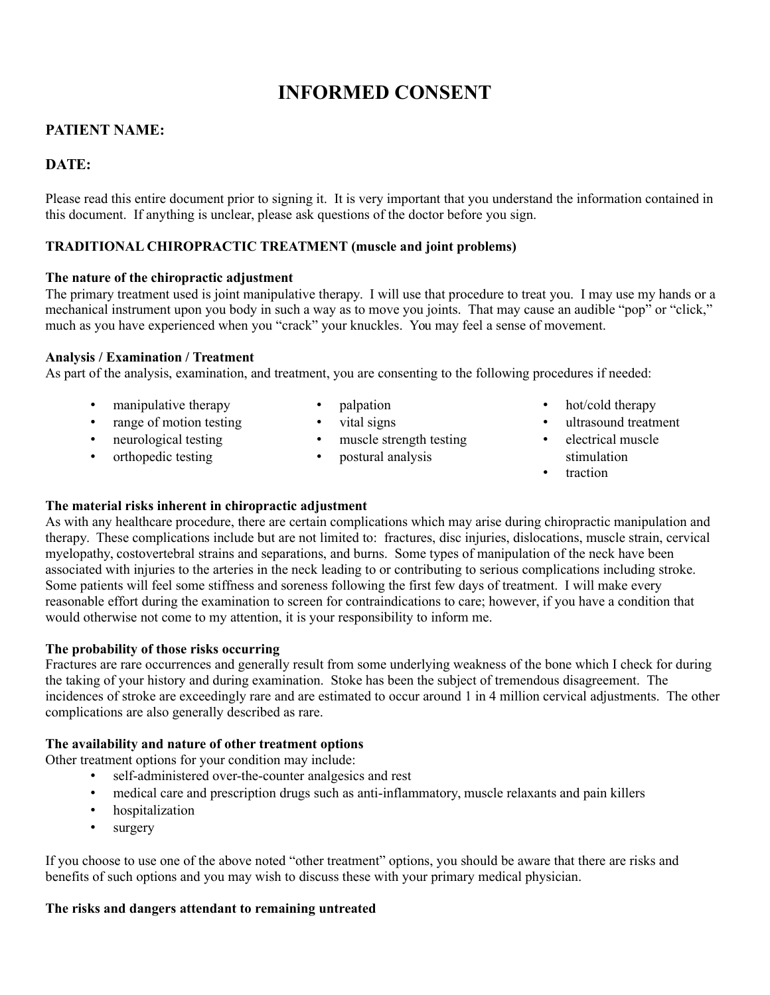## **INFORMED CONSENT**

## **PATIENT NAME:**

## **DATE:**

Please read this entire document prior to signing it. It is very important that you understand the information contained in this document. If anything is unclear, please ask questions of the doctor before you sign.

### **TRADITIONAL CHIROPRACTIC TREATMENT (muscle and joint problems)**

### **The nature of the chiropractic adjustment**

The primary treatment used is joint manipulative therapy. I will use that procedure to treat you. I may use my hands or a mechanical instrument upon you body in such a way as to move you joints. That may cause an audible "pop" or "click," much as you have experienced when you "crack" your knuckles. You may feel a sense of movement.

#### **Analysis / Examination / Treatment**

As part of the analysis, examination, and treatment, you are consenting to the following procedures if needed:

- manipulative therapy
- palpation
- mampum...
- neurological testing
- orthopedic testing
- vital signs
- muscle strength testing
- postural analysis
- hot/cold therapy
- ultrasound treatment
- electrical muscle stimulation
- traction

### **The material risks inherent in chiropractic adjustment**

As with any healthcare procedure, there are certain complications which may arise during chiropractic manipulation and therapy. These complications include but are not limited to: fractures, disc injuries, dislocations, muscle strain, cervical myelopathy, costovertebral strains and separations, and burns. Some types of manipulation of the neck have been associated with injuries to the arteries in the neck leading to or contributing to serious complications including stroke. Some patients will feel some stiffness and soreness following the first few days of treatment. I will make every reasonable effort during the examination to screen for contraindications to care; however, if you have a condition that would otherwise not come to my attention, it is your responsibility to inform me.

### **The probability of those risks occurring**

Fractures are rare occurrences and generally result from some underlying weakness of the bone which I check for during the taking of your history and during examination. Stoke has been the subject of tremendous disagreement. The incidences of stroke are exceedingly rare and are estimated to occur around 1 in 4 million cervical adjustments. The other complications are also generally described as rare.

### **The availability and nature of other treatment options**

Other treatment options for your condition may include:

- self-administered over-the-counter analgesics and rest
- medical care and prescription drugs such as anti-inflammatory, muscle relaxants and pain killers
- hospitalization
- surgery

If you choose to use one of the above noted "other treatment" options, you should be aware that there are risks and benefits of such options and you may wish to discuss these with your primary medical physician.

### **The risks and dangers attendant to remaining untreated**